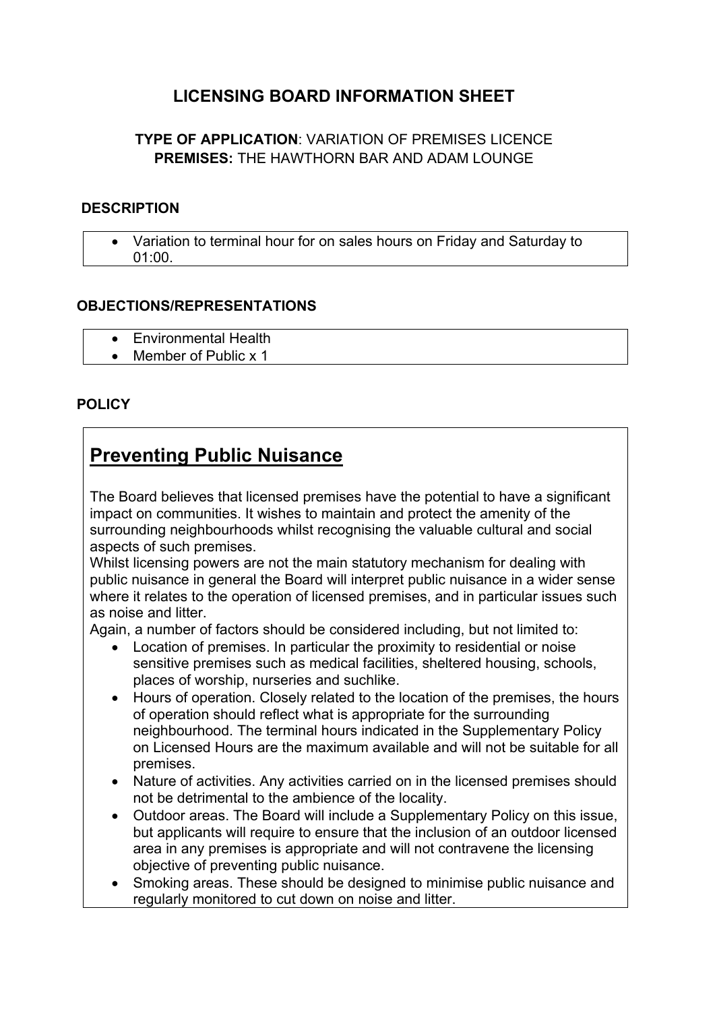## **LICENSING BOARD INFORMATION SHEET**

### **TYPE OF APPLICATION**: VARIATION OF PREMISES LICENCE **PREMISES:** THE HAWTHORN BAR AND ADAM LOUNGE

#### **DESCRIPTION**

 Variation to terminal hour for on sales hours on Friday and Saturday to 01:00.

#### **OBJECTIONS/REPRESENTATIONS**

- **Environmental Health**
- Member of Public x 1

#### **POLICY**

# **Preventing Public Nuisance**

The Board believes that licensed premises have the potential to have a significant impact on communities. It wishes to maintain and protect the amenity of the surrounding neighbourhoods whilst recognising the valuable cultural and social aspects of such premises.

Whilst licensing powers are not the main statutory mechanism for dealing with public nuisance in general the Board will interpret public nuisance in a wider sense where it relates to the operation of licensed premises, and in particular issues such as noise and litter.

Again, a number of factors should be considered including, but not limited to:

- Location of premises. In particular the proximity to residential or noise sensitive premises such as medical facilities, sheltered housing, schools, places of worship, nurseries and suchlike.
- Hours of operation. Closely related to the location of the premises, the hours of operation should reflect what is appropriate for the surrounding neighbourhood. The terminal hours indicated in the Supplementary Policy on Licensed Hours are the maximum available and will not be suitable for all premises.
- Nature of activities. Any activities carried on in the licensed premises should not be detrimental to the ambience of the locality.
- Outdoor areas. The Board will include a Supplementary Policy on this issue, but applicants will require to ensure that the inclusion of an outdoor licensed area in any premises is appropriate and will not contravene the licensing objective of preventing public nuisance.
- Smoking areas. These should be designed to minimise public nuisance and regularly monitored to cut down on noise and litter.